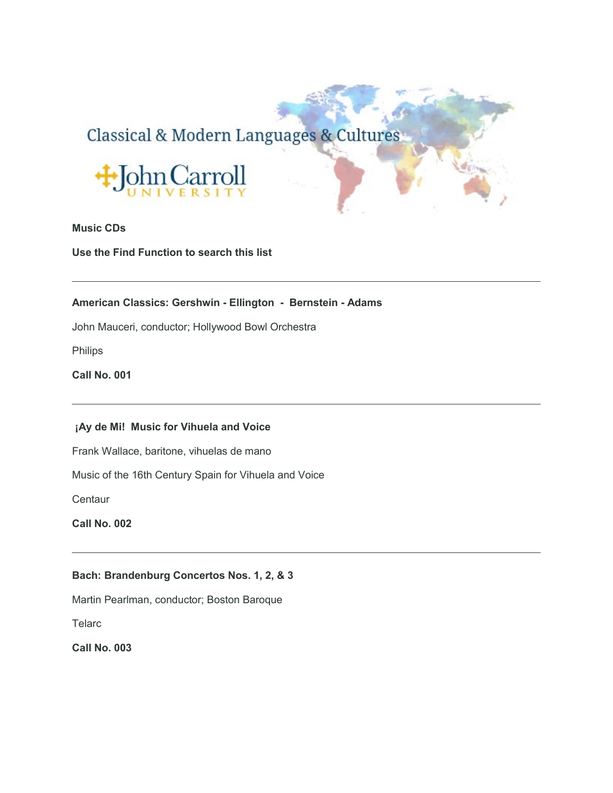# Classical & Modern Languages & Cultures



# **Music CDs**

**Use the Find Function to search this list**

# **American Classics: Gershwin - Ellington - Bernstein - Adams**

John Mauceri, conductor; Hollywood Bowl Orchestra

Philips

**Call No. 001**

# **¡Ay de Mi! Music for Vihuela and Voice**

Frank Wallace, baritone, vihuelas de mano

Music of the 16th Century Spain for Vihuela and Voice

**Centaur** 

**Call No. 002**

# **Bach: Brandenburg Concertos Nos. 1, 2, & 3**

Martin Pearlman, conductor; Boston Baroque

**Telarc**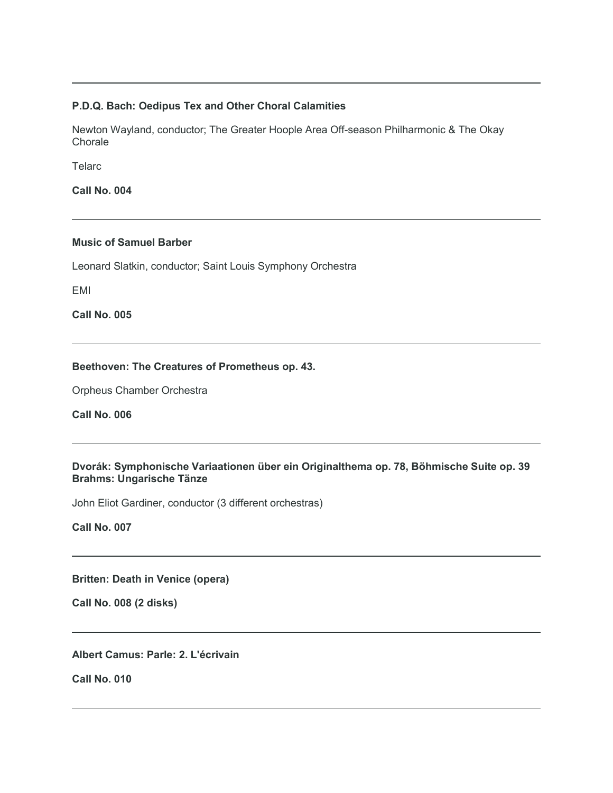#### **P.D.Q. Bach: Oedipus Tex and Other Choral Calamities**

Newton Wayland, conductor; The Greater Hoople Area Off-season Philharmonic & The Okay **Chorale** 

**Telarc** 

**Call No. 004**

# **Music of Samuel Barber**

Leonard Slatkin, conductor; Saint Louis Symphony Orchestra

EMI

**Call No. 005**

#### **Beethoven: The Creatures of Prometheus op. 43.**

Orpheus Chamber Orchestra

**Call No. 006**

# **Dvorák: Symphonische Variaationen über ein Originalthema op. 78, Böhmische Suite op. 39 Brahms: Ungarische Tänze**

John Eliot Gardiner, conductor (3 different orchestras)

**Call No. 007**

**Britten: Death in Venice (opera)**

**Call No. 008 (2 disks)**

**Albert Camus: Parle: 2. L'écrivain**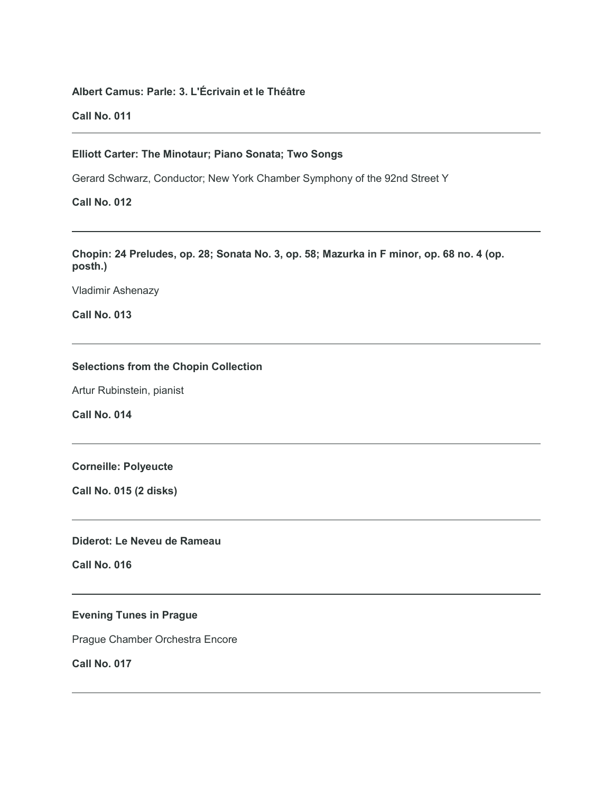# **Albert Camus: Parle: 3. L'Écrivain et le Théâtre**

**Call No. 011**

#### **Elliott Carter: The Minotaur; Piano Sonata; Two Songs**

Gerard Schwarz, Conductor; New York Chamber Symphony of the 92nd Street Y

# **Call No. 012**

**Chopin: 24 Preludes, op. 28; Sonata No. 3, op. 58; Mazurka in F minor, op. 68 no. 4 (op. posth.)**

Vladimir Ashenazy

**Call No. 013**

# **Selections from the Chopin Collection**

Artur Rubinstein, pianist

**Call No. 014**

#### **Corneille: Polyeucte**

**Call No. 015 (2 disks)**

# **Diderot: Le Neveu de Rameau**

**Call No. 016**

# **Evening Tunes in Prague**

Prague Chamber Orchestra Encore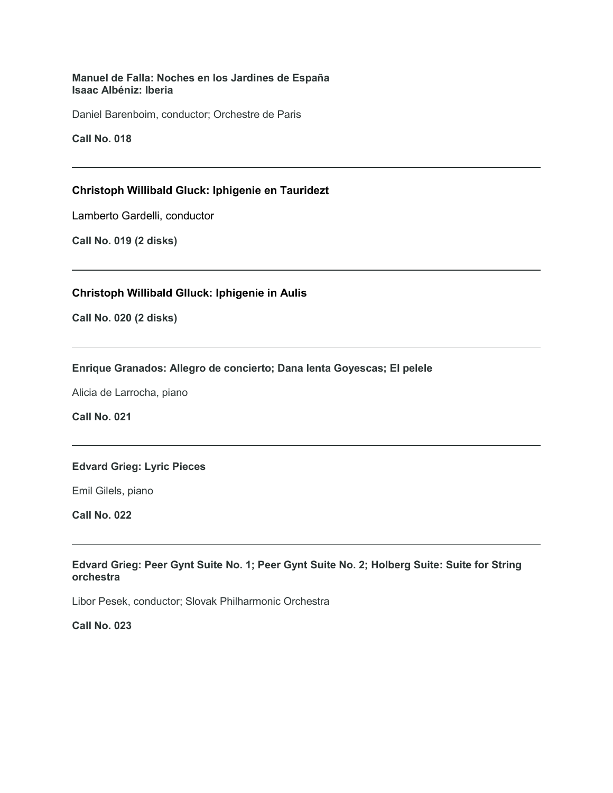**Manuel de Falla: Noches en los Jardines de España Isaac Albéniz: Iberia**

Daniel Barenboim, conductor; Orchestre de Paris

**Call No. 018**

# **Christoph Willibald Gluck: Iphigenie en Tauridezt**

Lamberto Gardelli, conductor

**Call No. 019 (2 disks)**

# **Christoph Willibald Glluck: Iphigenie in Aulis**

**Call No. 020 (2 disks)**

#### **Enrique Granados: Allegro de concierto; Dana lenta Goyescas; El pelele**

Alicia de Larrocha, piano

**Call No. 021**

#### **Edvard Grieg: Lyric Pieces**

Emil Gilels, piano

**Call No. 022**

**Edvard Grieg: Peer Gynt Suite No. 1; Peer Gynt Suite No. 2; Holberg Suite: Suite for String orchestra**

Libor Pesek, conductor; Slovak Philharmonic Orchestra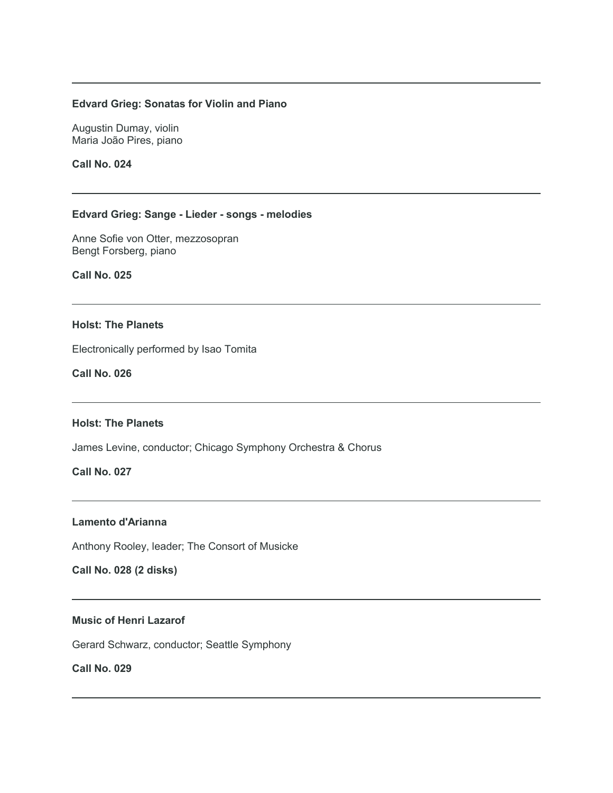#### **Edvard Grieg: Sonatas for Violin and Piano**

Augustin Dumay, violin Maria João Pires, piano

**Call No. 024**

#### **Edvard Grieg: Sange - Lieder - songs - melodies**

Anne Sofie von Otter, mezzosopran Bengt Forsberg, piano

**Call No. 025**

# **Holst: The Planets**

Electronically performed by Isao Tomita

**Call No. 026**

#### **Holst: The Planets**

James Levine, conductor; Chicago Symphony Orchestra & Chorus

**Call No. 027**

#### **Lamento d'Arianna**

Anthony Rooley, leader; The Consort of Musicke

**Call No. 028 (2 disks)**

# **Music of Henri Lazarof**

Gerard Schwarz, conductor; Seattle Symphony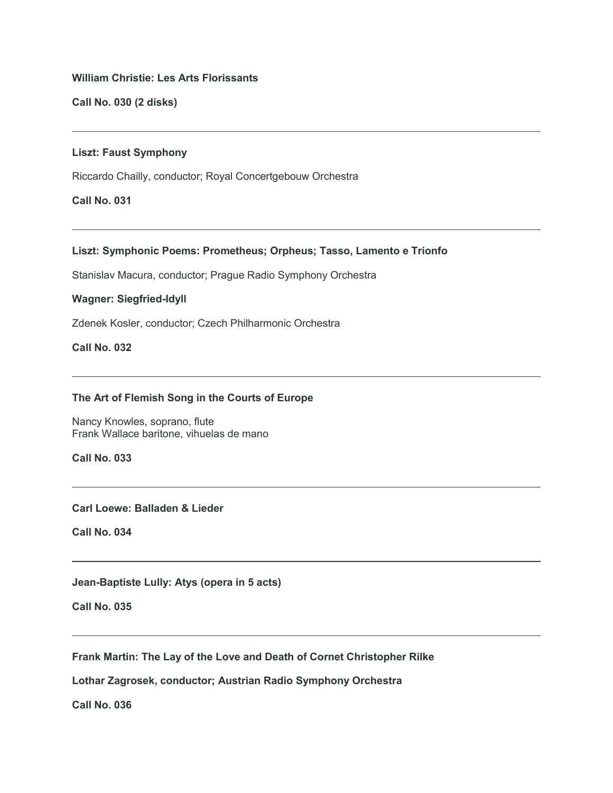# **William Christie: Les Arts Florissants**

**Call No. 030 (2 disks)**

#### **Liszt: Faust Symphony**

Riccardo Chailly, conductor; Royal Concertgebouw Orchestra

# **Call No. 031**

# **Liszt: Symphonic Poems: Prometheus; Orpheus; Tasso, Lamento e Trionfo**

Stanislav Macura, conductor; Prague Radio Symphony Orchestra

#### **Wagner: Siegfried-Idyll**

Zdenek Kosler, conductor; Czech Philharmonic Orchestra

# **Call No. 032**

#### **The Art of Flemish Song in the Courts of Europe**

Nancy Knowles, soprano, flute Frank Wallace baritone, vihuelas de mano

**Call No. 033**

#### **Carl Loewe: Balladen & Lieder**

**Call No. 034**

**Jean-Baptiste Lully: Atys (opera in 5 acts)**

**Call No. 035**

**Frank Martin: The Lay of the Love and Death of Cornet Christopher Rilke**

**Lothar Zagrosek, conductor; Austrian Radio Symphony Orchestra**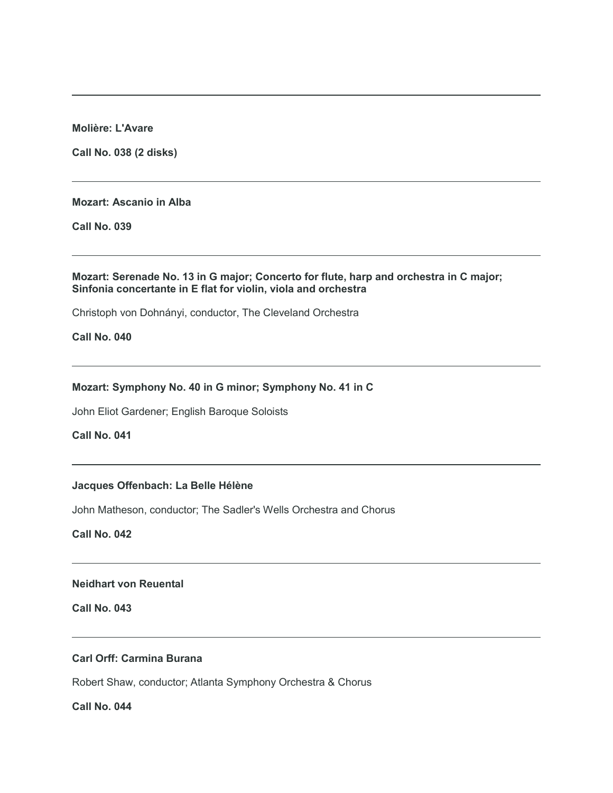**Molière: L'Avare**

**Call No. 038 (2 disks)**

#### **Mozart: Ascanio in Alba**

**Call No. 039**

#### **Mozart: Serenade No. 13 in G major; Concerto for flute, harp and orchestra in C major; Sinfonia concertante in E flat for violin, viola and orchestra**

Christoph von Dohnányi, conductor, The Cleveland Orchestra

**Call No. 040**

#### **Mozart: Symphony No. 40 in G minor; Symphony No. 41 in C**

John Eliot Gardener; English Baroque Soloists

**Call No. 041**

## **Jacques Offenbach: La Belle Hélène**

John Matheson, conductor; The Sadler's Wells Orchestra and Chorus

**Call No. 042**

**Neidhart von Reuental**

**Call No. 043**

# **Carl Orff: Carmina Burana**

Robert Shaw, conductor; Atlanta Symphony Orchestra & Chorus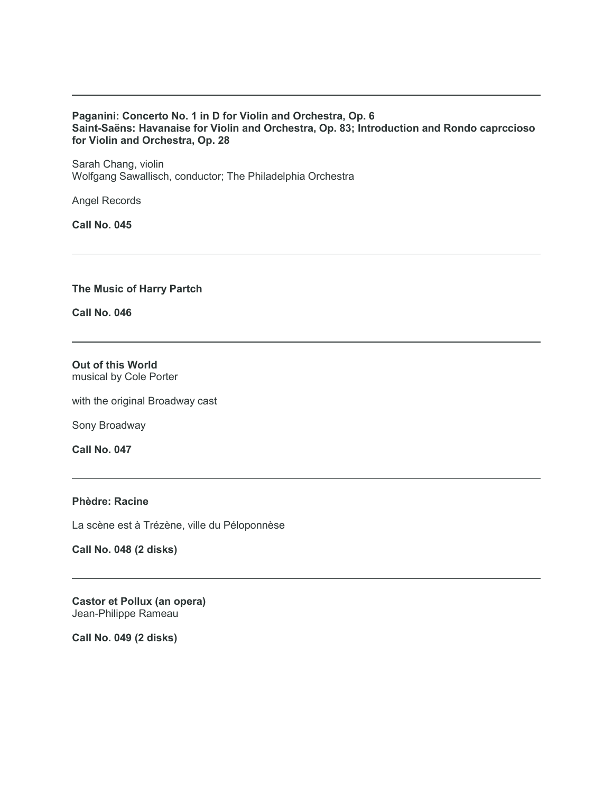#### **Paganini: Concerto No. 1 in D for Violin and Orchestra, Op. 6 Saint-Saëns: Havanaise for Violin and Orchestra, Op. 83; Introduction and Rondo caprccioso for Violin and Orchestra, Op. 28**

Sarah Chang, violin Wolfgang Sawallisch, conductor; The Philadelphia Orchestra

Angel Records

**Call No. 045**

**The Music of Harry Partch**

**Call No. 046**

**Out of this World** musical by Cole Porter

with the original Broadway cast

Sony Broadway

**Call No. 047**

# **Phèdre: Racine**

La scène est à Trézène, ville du Péloponnèse

**Call No. 048 (2 disks)**

**Castor et Pollux (an opera)** Jean-Philippe Rameau

**Call No. 049 (2 disks)**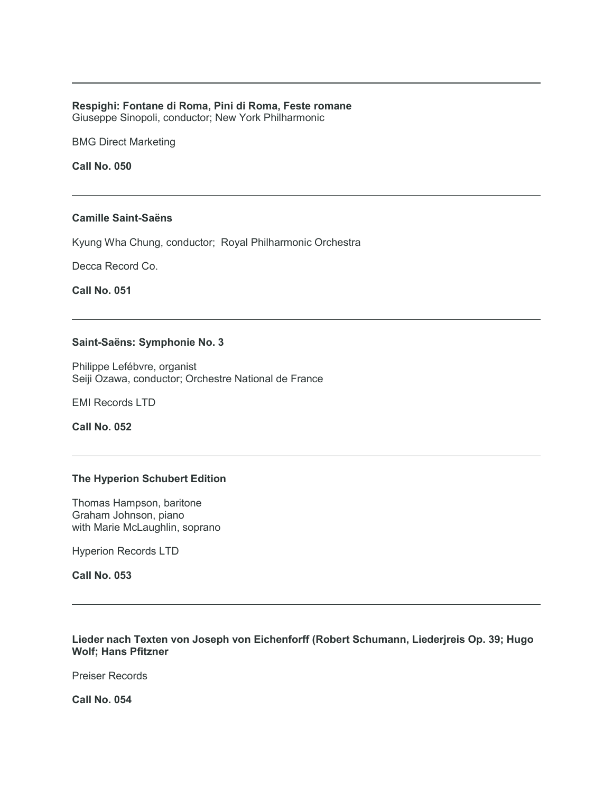#### **Respighi: Fontane di Roma, Pini di Roma, Feste romane**

Giuseppe Sinopoli, conductor; New York Philharmonic

BMG Direct Marketing

**Call No. 050**

#### **Camille Saint-Saëns**

Kyung Wha Chung, conductor; Royal Philharmonic Orchestra

Decca Record Co.

**Call No. 051**

#### **Saint-Saëns: Symphonie No. 3**

Philippe Lefébvre, organist Seiji Ozawa, conductor; Orchestre National de France

EMI Records LTD

**Call No. 052**

#### **The Hyperion Schubert Edition**

Thomas Hampson, baritone Graham Johnson, piano with Marie McLaughlin, soprano

Hyperion Records LTD

# **Call No. 053**

**Lieder nach Texten von Joseph von Eichenforff (Robert Schumann, Liederjreis Op. 39; Hugo Wolf; Hans Pfitzner**

Preiser Records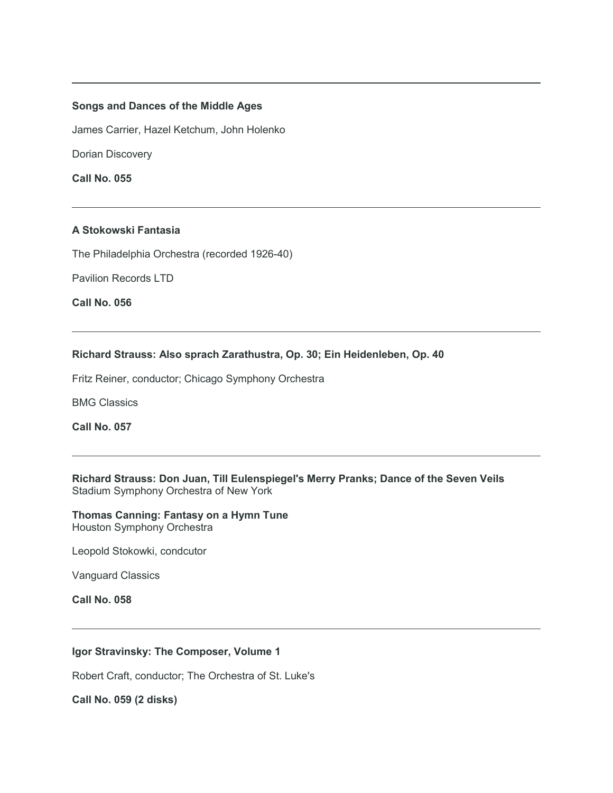#### **Songs and Dances of the Middle Ages**

James Carrier, Hazel Ketchum, John Holenko

Dorian Discovery

**Call No. 055**

#### **A Stokowski Fantasia**

The Philadelphia Orchestra (recorded 1926-40)

Pavilion Records LTD

**Call No. 056**

# **Richard Strauss: Also sprach Zarathustra, Op. 30; Ein Heidenleben, Op. 40**

Fritz Reiner, conductor; Chicago Symphony Orchestra

BMG Classics

**Call No. 057**

**Richard Strauss: Don Juan, Till Eulenspiegel's Merry Pranks; Dance of the Seven Veils** Stadium Symphony Orchestra of New York

**Thomas Canning: Fantasy on a Hymn Tune** Houston Symphony Orchestra

Leopold Stokowki, condcutor

Vanguard Classics

**Call No. 058**

# **Igor Stravinsky: The Composer, Volume 1**

Robert Craft, conductor; The Orchestra of St. Luke's

**Call No. 059 (2 disks)**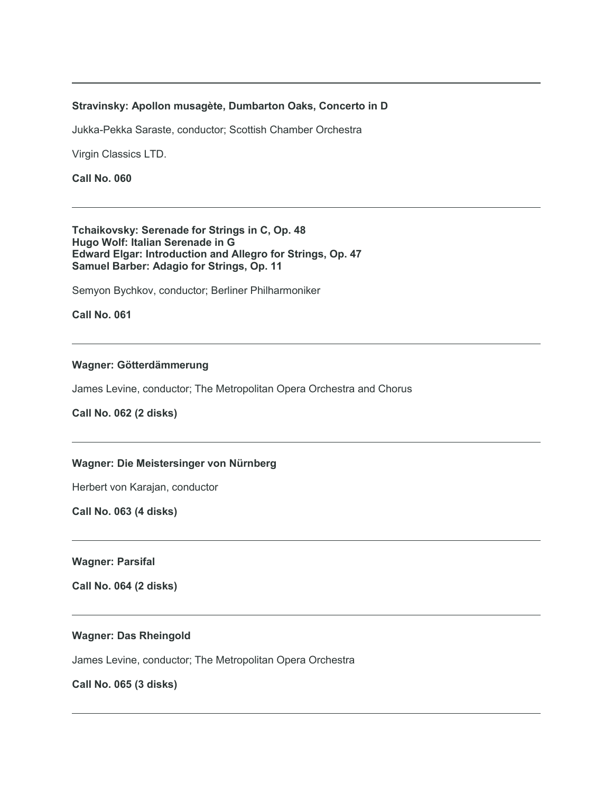#### **Stravinsky: Apollon musagète, Dumbarton Oaks, Concerto in D**

Jukka-Pekka Saraste, conductor; Scottish Chamber Orchestra

Virgin Classics LTD.

**Call No. 060**

**Tchaikovsky: Serenade for Strings in C, Op. 48 Hugo Wolf: Italian Serenade in G Edward Elgar: Introduction and Allegro for Strings, Op. 47 Samuel Barber: Adagio for Strings, Op. 11**

Semyon Bychkov, conductor; Berliner Philharmoniker

**Call No. 061**

# **Wagner: Götterdämmerung**

James Levine, conductor; The Metropolitan Opera Orchestra and Chorus

**Call No. 062 (2 disks)**

# **Wagner: Die Meistersinger von Nürnberg**

Herbert von Karajan, conductor

**Call No. 063 (4 disks)**

**Wagner: Parsifal**

**Call No. 064 (2 disks)**

#### **Wagner: Das Rheingold**

James Levine, conductor; The Metropolitan Opera Orchestra

**Call No. 065 (3 disks)**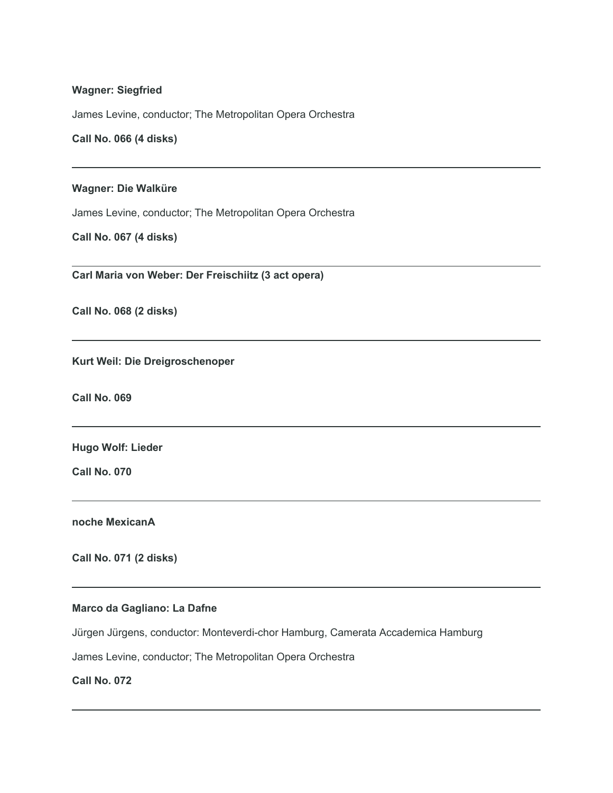#### **Wagner: Siegfried**

James Levine, conductor; The Metropolitan Opera Orchestra

**Call No. 066 (4 disks)**

#### **Wagner: Die Walküre**

James Levine, conductor; The Metropolitan Opera Orchestra

**Call No. 067 (4 disks)**

**Carl Maria von Weber: Der Freischiitz (3 act opera)**

**Call No. 068 (2 disks)**

**Kurt Weil: Die Dreigroschenoper**

**Call No. 069**

**Hugo Wolf: Lieder**

**Call No. 070**

**noche MexicanA**

**Call No. 071 (2 disks)**

#### **Marco da Gagliano: La Dafne**

Jürgen Jürgens, conductor: Monteverdi-chor Hamburg, Camerata Accademica Hamburg

James Levine, conductor; The Metropolitan Opera Orchestra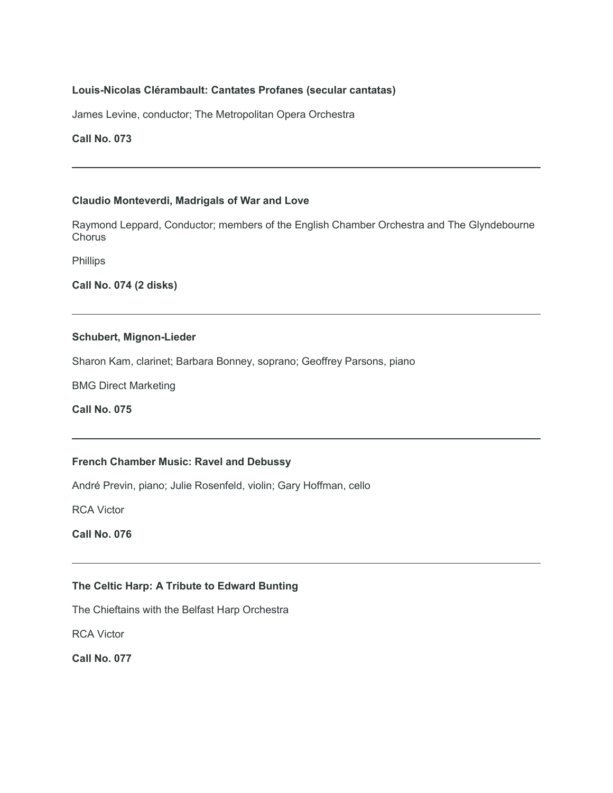# **Louis-Nicolas Clérambault: Cantates Profanes (secular cantatas)**

James Levine, conductor; The Metropolitan Opera Orchestra

# **Call No. 073**

## **Claudio Monteverdi, Madrigals of War and Love**

Raymond Leppard, Conductor; members of the English Chamber Orchestra and The Glyndebourne **Chorus** 

Phillips

**Call No. 074 (2 disks)**

#### **Schubert, Mignon-Lieder**

Sharon Kam, clarinet; Barbara Bonney, soprano; Geoffrey Parsons, piano

BMG Direct Marketing

**Call No. 075**

# **French Chamber Music: Ravel and Debussy**

André Previn, piano; Julie Rosenfeld, violin; Gary Hoffman, cello

RCA Victor

**Call No. 076**

# **The Celtic Harp: A Tribute to Edward Bunting**

The Chieftains with the Belfast Harp Orchestra

RCA Victor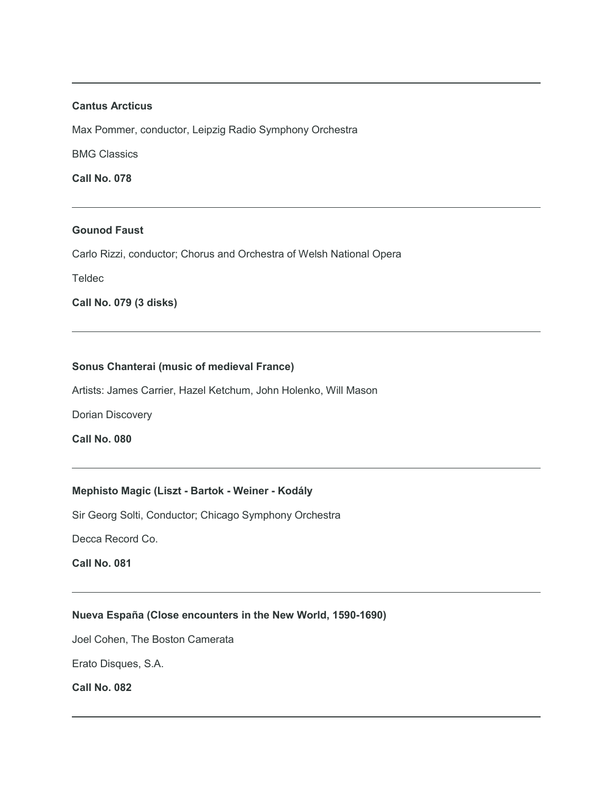#### **Cantus Arcticus**

Max Pommer, conductor, Leipzig Radio Symphony Orchestra

BMG Classics

**Call No. 078**

#### **Gounod Faust**

Carlo Rizzi, conductor; Chorus and Orchestra of Welsh National Opera

**Teldec** 

**Call No. 079 (3 disks)**

#### **Sonus Chanterai (music of medieval France)**

Artists: James Carrier, Hazel Ketchum, John Holenko, Will Mason

Dorian Discovery

**Call No. 080**

# **Mephisto Magic (Liszt - Bartok - Weiner - Kodály**

Sir Georg Solti, Conductor; Chicago Symphony Orchestra

Decca Record Co.

**Call No. 081**

#### **Nueva España (Close encounters in the New World, 1590-1690)**

Joel Cohen, The Boston Camerata

Erato Disques, S.A.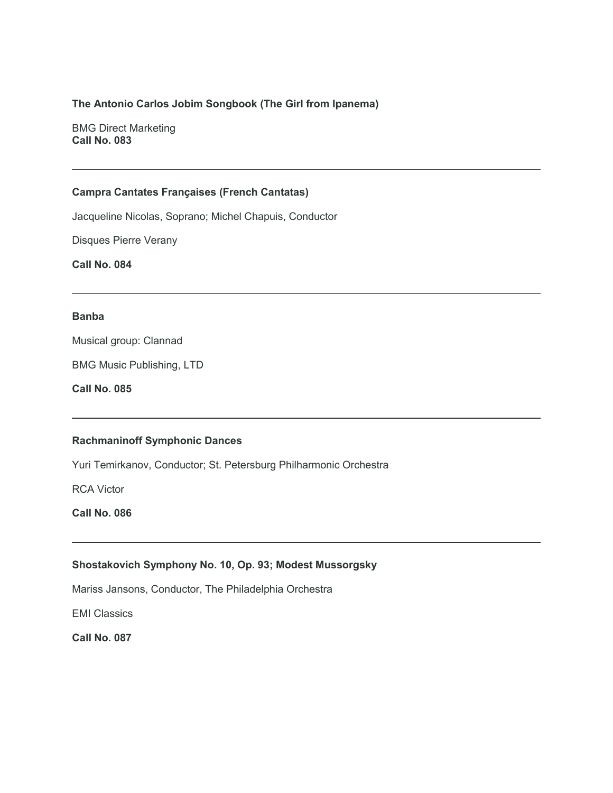# **The Antonio Carlos Jobim Songbook (The Girl from Ipanema)**

BMG Direct Marketing **Call No. 083**

## **Campra Cantates Françaises (French Cantatas)**

Jacqueline Nicolas, Soprano; Michel Chapuis, Conductor

Disques Pierre Verany

**Call No. 084**

#### **Banba**

Musical group: Clannad

BMG Music Publishing, LTD

**Call No. 085**

# **Rachmaninoff Symphonic Dances**

Yuri Temirkanov, Conductor; St. Petersburg Philharmonic Orchestra

RCA Victor

**Call No. 086**

#### **Shostakovich Symphony No. 10, Op. 93; Modest Mussorgsky**

Mariss Jansons, Conductor, The Philadelphia Orchestra

EMI Classics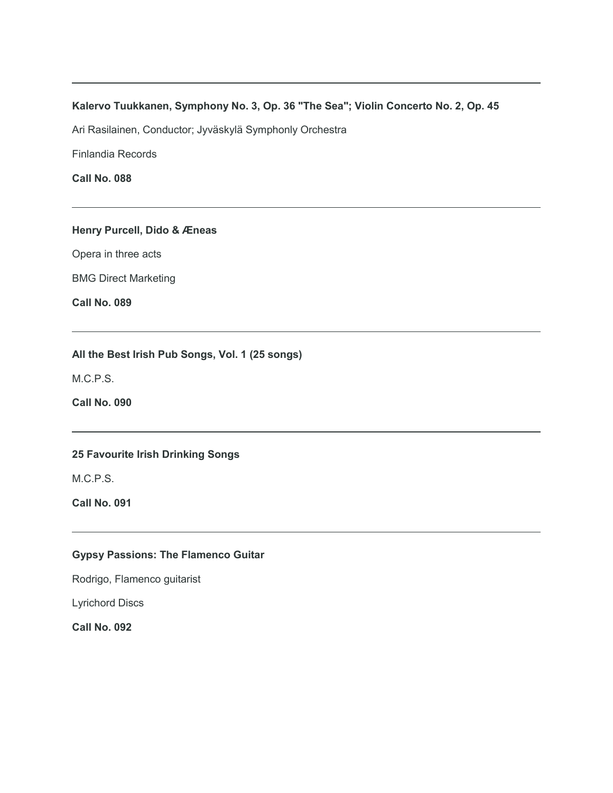# **Kalervo Tuukkanen, Symphony No. 3, Op. 36 "The Sea"; Violin Concerto No. 2, Op. 45**

Ari Rasilainen, Conductor; Jyväskylä Symphonly Orchestra

Finlandia Records

**Call No. 088**

# **Henry Purcell, Dido & Æneas**

Opera in three acts

BMG Direct Marketing

**Call No. 089**

# **All the Best Irish Pub Songs, Vol. 1 (25 songs)**

M.C.P.S.

**Call No. 090**

# **25 Favourite Irish Drinking Songs**

M.C.P.S.

**Call No. 091**

# **Gypsy Passions: The Flamenco Guitar**

Rodrigo, Flamenco guitarist

Lyrichord Discs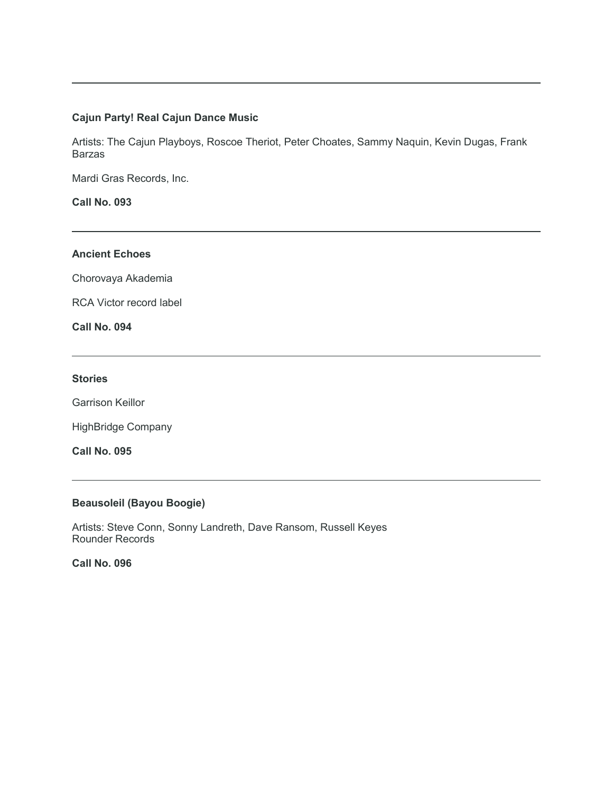# **Cajun Party! Real Cajun Dance Music**

Artists: The Cajun Playboys, Roscoe Theriot, Peter Choates, Sammy Naquin, Kevin Dugas, Frank Barzas

Mardi Gras Records, Inc.

**Call No. 093**

# **Ancient Echoes**

Chorovaya Akademia

RCA Victor record label

**Call No. 094**

#### **Stories**

Garrison Keillor

HighBridge Company

**Call No. 095**

# **Beausoleil (Bayou Boogie)**

Artists: Steve Conn, Sonny Landreth, Dave Ransom, Russell Keyes Rounder Records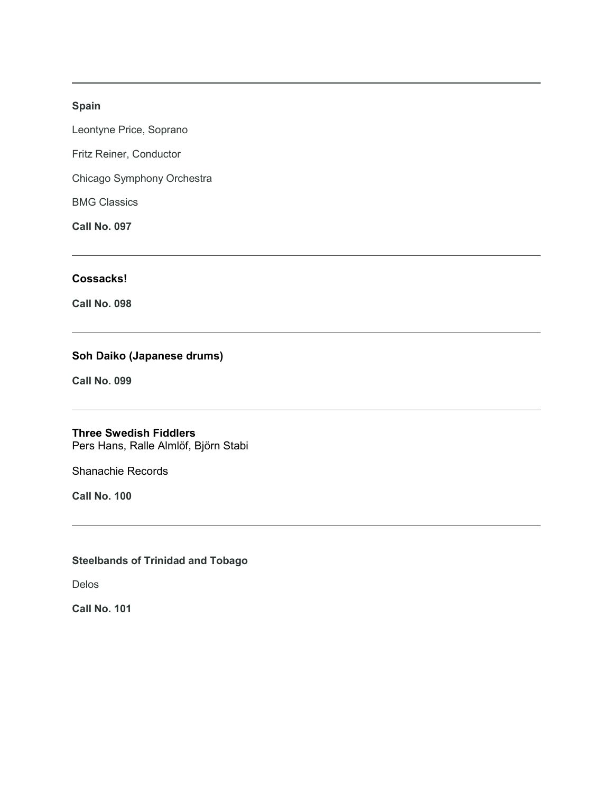# **Spain**

Leontyne Price, Soprano

Fritz Reiner, Conductor

Chicago Symphony Orchestra

BMG Classics

**Call No. 097**

# **Cossacks!**

**Call No. 098**

# **Soh Daiko (Japanese drums)**

**Call No. 099**

# **Three Swedish Fiddlers**

Pers Hans, Ralle Almlöf, Björn Stabi

Shanachie Records

**Call No. 100**

# **Steelbands of Trinidad and Tobago**

Delos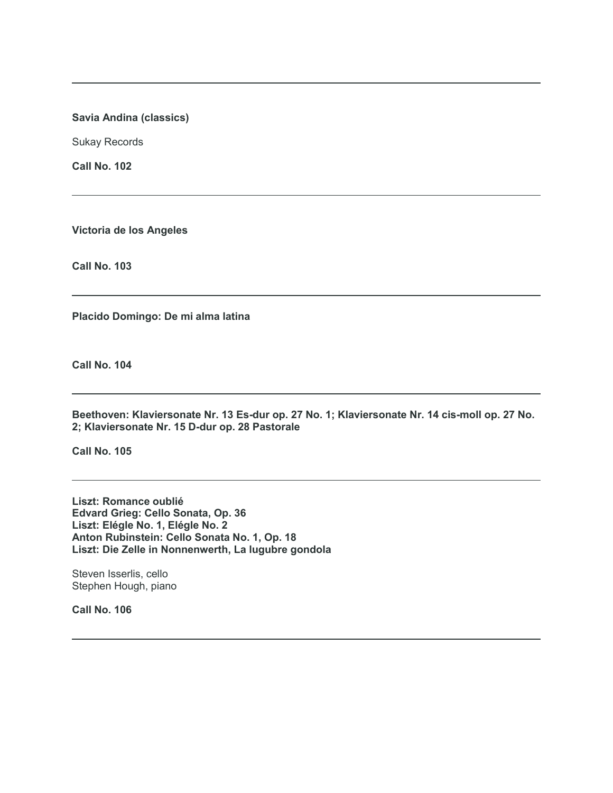# **Savia Andina (classics)**

Sukay Records

**Call No. 102**

**Victoria de los Angeles**

**Call No. 103**

**Placido Domingo: De mi alma latina**

**Call No. 104**

**Beethoven: Klaviersonate Nr. 13 Es-dur op. 27 No. 1; Klaviersonate Nr. 14 cis-moll op. 27 No. 2; Klaviersonate Nr. 15 D-dur op. 28 Pastorale**

**Call No. 105**

**Liszt: Romance oublié Edvard Grieg: Cello Sonata, Op. 36 Liszt: Elégle No. 1, Elégle No. 2 Anton Rubinstein: Cello Sonata No. 1, Op. 18 Liszt: Die Zelle in Nonnenwerth, La lugubre gondola**

Steven Isserlis, cello Stephen Hough, piano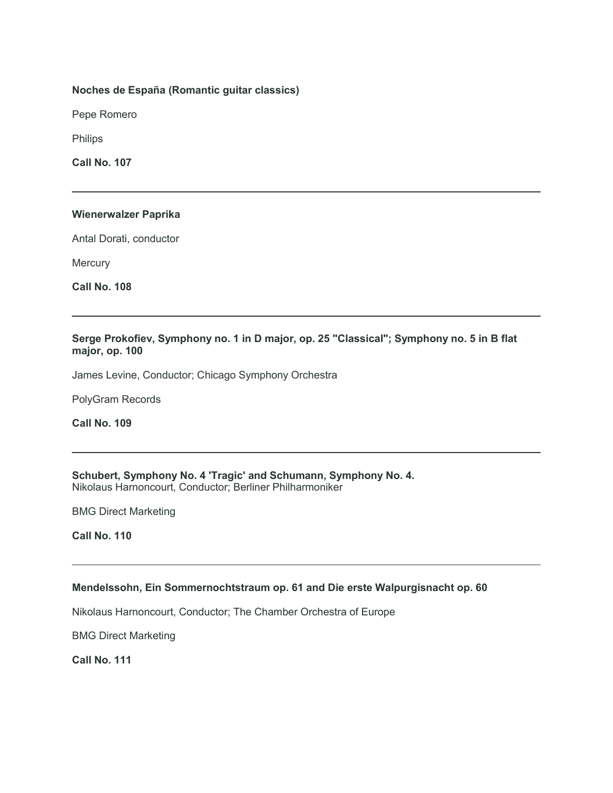# **Noches de España (Romantic guitar classics)**

Pepe Romero

Philips

**Call No. 107**

#### **Wienerwalzer Paprika**

Antal Dorati, conductor

**Mercury** 

**Call No. 108**

# **Serge Prokofiev, Symphony no. 1 in D major, op. 25 "Classical"; Symphony no. 5 in B flat major, op. 100**

James Levine, Conductor; Chicago Symphony Orchestra

PolyGram Records

**Call No. 109**

**Schubert, Symphony No. 4 'Tragic' and Schumann, Symphony No. 4.** Nikolaus Harnoncourt, Conductor; Berliner Philharmoniker

BMG Direct Marketing

**Call No. 110**

# **Mendelssohn, Ein Sommernochtstraum op. 61 and Die erste Walpurgisnacht op. 60**

Nikolaus Harnoncourt, Conductor; The Chamber Orchestra of Europe

BMG Direct Marketing